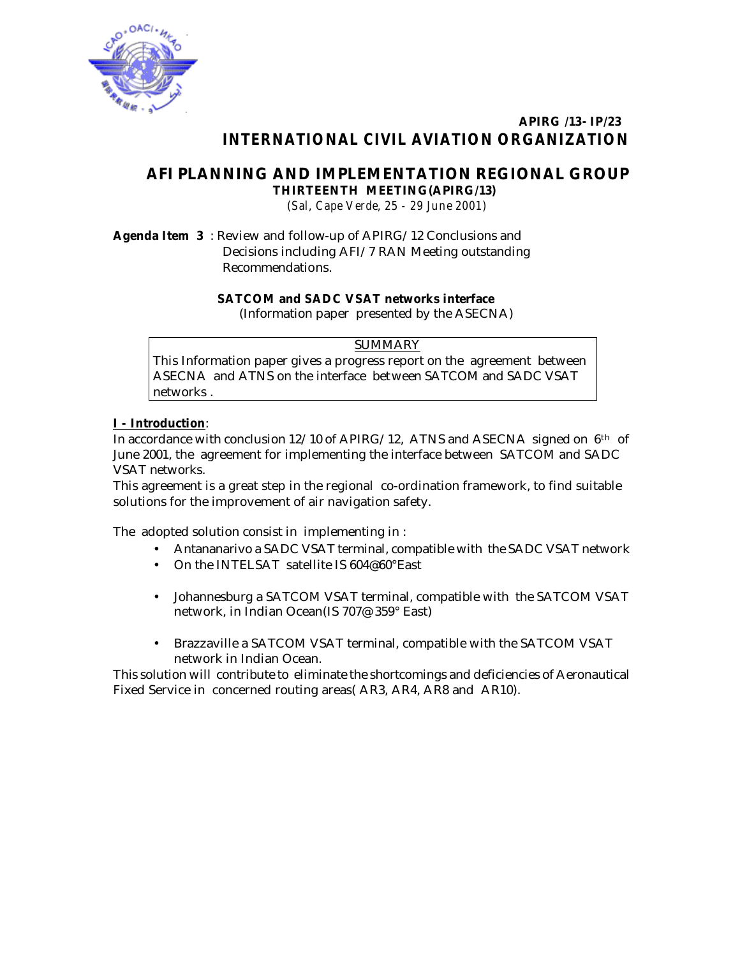

### **APIRG /13- IP/23**  *INTERNATIONAL CIVIL AVIATION ORGANIZATION*

## **AFI PLANNING AND IMPLEMENTATION REGIONAL GROUP THIRTEENTH MEETING(APIRG/13)**

*(Sal, Cape Verde, 25 - 29 June 2001)*

**Agenda Item 3** : Review and follow-up of APIRG/12 Conclusions and Decisions including AFI/7 RAN Meeting outstanding Recommendations.

#### **SATCOM and SADC VSAT networks interface**

(Information paper presented by the ASECNA)

#### SUMMARY

This Information paper gives a progress report on the agreement between ASECNA and ATNS on the interface between SATCOM and SADC VSAT networks .

#### **I - Introduction**:

In accordance with conclusion 12/10 of APIRG/12, ATNS and ASECNA signed on  $6<sup>th</sup>$  of June 2001, the agreement for implementing the interface between SATCOM and SADC VSAT networks.

This agreement is a great step in the regional co-ordination framework, to find suitable solutions for the improvement of air navigation safety.

The adopted solution consist in implementing in :

- Antananarivo a SADC VSAT terminal, compatible with the SADC VSAT network
- On the INTELSAT satellite IS 604@60°East
- Johannesburg a SATCOM VSAT terminal, compatible with the SATCOM VSAT network, in Indian Ocean(IS 707@ 359° East)
- Brazzaville a SATCOM VSAT terminal, compatible with the SATCOM VSAT network in Indian Ocean.

This solution will contribute to eliminate the shortcomings and deficiencies of Aeronautical Fixed Service in concerned routing areas( AR3, AR4, AR8 and AR10).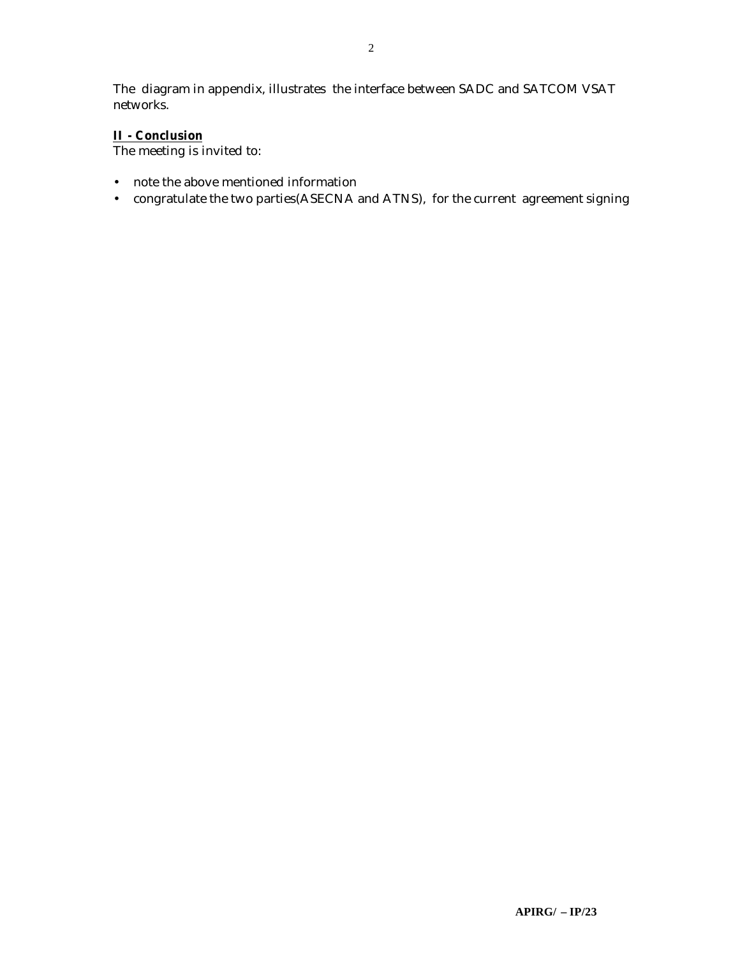The diagram in appendix, illustrates the interface between SADC and SATCOM VSAT networks.

#### **II - Conclusion**

The meeting is invited to:

- note the above mentioned information
- congratulate the two parties(ASECNA and ATNS), for the current agreement signing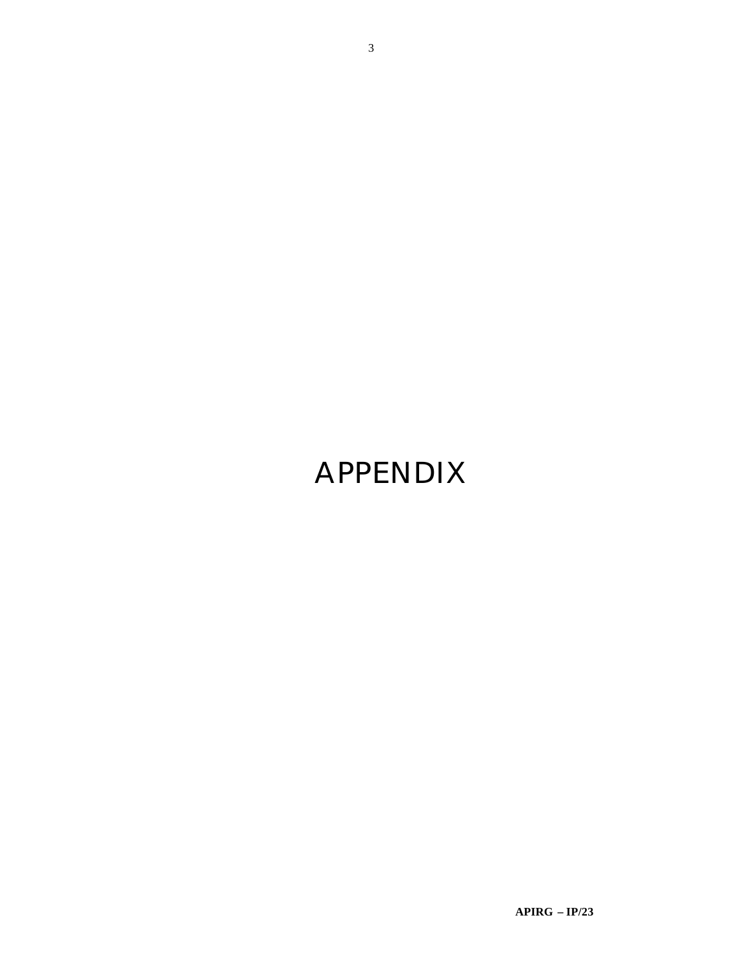# **APPENDIX**